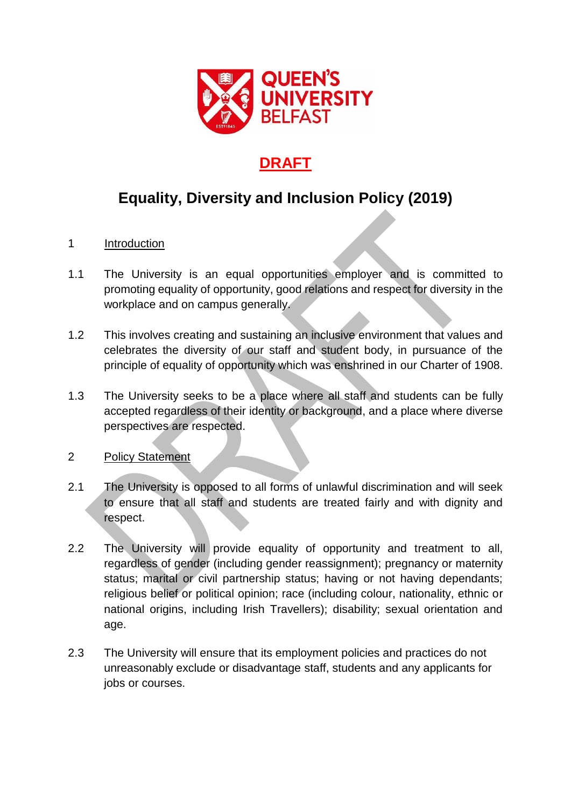

## **DRAFT**

# **Equality, Diversity and Inclusion Policy (2019)**

### 1 Introduction

- 1.1 The University is an equal opportunities employer and is committed to promoting equality of opportunity, good relations and respect for diversity in the workplace and on campus generally.
- 1.2 This involves creating and sustaining an inclusive environment that values and celebrates the diversity of our staff and student body, in pursuance of the principle of equality of opportunity which was enshrined in our Charter of 1908.
- 1.3 The University seeks to be a place where all staff and students can be fully accepted regardless of their identity or background, and a place where diverse perspectives are respected.
- 2 Policy Statement
- 2.1 The University is opposed to all forms of unlawful discrimination and will seek to ensure that all staff and students are treated fairly and with dignity and respect.
- 2.2 The University will provide equality of opportunity and treatment to all, regardless of gender (including gender reassignment); pregnancy or maternity status; marital or civil partnership status; having or not having dependants; religious belief or political opinion; race (including colour, nationality, ethnic or national origins, including Irish Travellers); disability; sexual orientation and age.
- 2.3 The University will ensure that its employment policies and practices do not unreasonably exclude or disadvantage staff, students and any applicants for jobs or courses.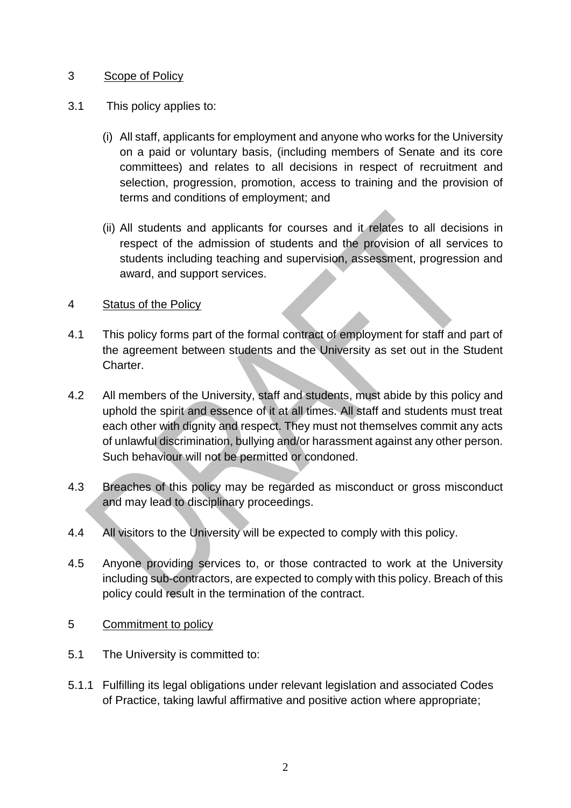#### 3 Scope of Policy

- 3.1 This policy applies to:
	- (i) All staff, applicants for employment and anyone who works for the University on a paid or voluntary basis, (including members of Senate and its core committees) and relates to all decisions in respect of recruitment and selection, progression, promotion, access to training and the provision of terms and conditions of employment; and
	- (ii) All students and applicants for courses and it relates to all decisions in respect of the admission of students and the provision of all services to students including teaching and supervision, assessment, progression and award, and support services.

#### 4 Status of the Policy

- 4.1 This policy forms part of the formal contract of employment for staff and part of the agreement between students and the University as set out in the Student Charter.
- 4.2 All members of the University, staff and students, must abide by this policy and uphold the spirit and essence of it at all times. All staff and students must treat each other with dignity and respect. They must not themselves commit any acts of unlawful discrimination, bullying and/or harassment against any other person. Such behaviour will not be permitted or condoned.
- 4.3 Breaches of this policy may be regarded as misconduct or gross misconduct and may lead to disciplinary proceedings.
- 4.4 All visitors to the University will be expected to comply with this policy.
- 4.5 Anyone providing services to, or those contracted to work at the University including sub-contractors, are expected to comply with this policy. Breach of this policy could result in the termination of the contract.
- 5 Commitment to policy
- 5.1 The University is committed to:
- 5.1.1 Fulfilling its legal obligations under relevant legislation and associated Codes of Practice, taking lawful affirmative and positive action where appropriate;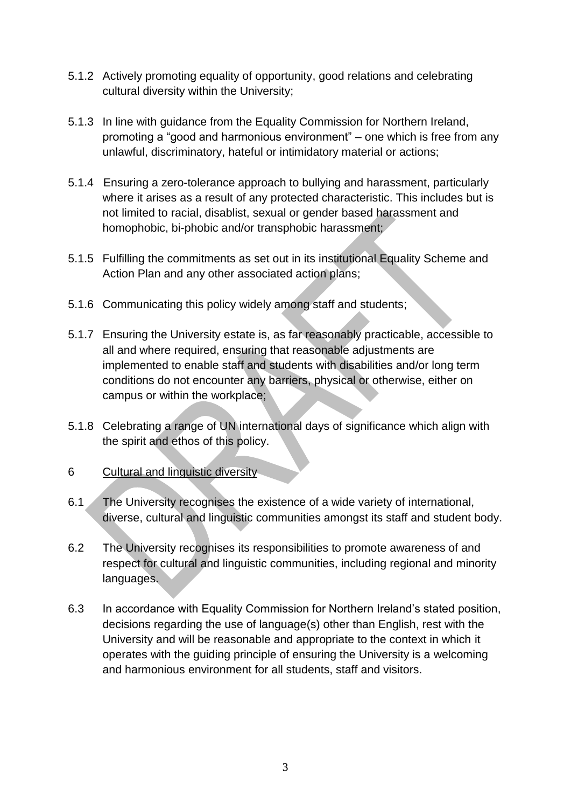- 5.1.2 Actively promoting equality of opportunity, good relations and celebrating cultural diversity within the University;
- 5.1.3 In line with guidance from the Equality Commission for Northern Ireland, promoting a "good and harmonious environment" – one which is free from any unlawful, discriminatory, hateful or intimidatory material or actions;
- 5.1.4 Ensuring a zero-tolerance approach to bullying and harassment, particularly where it arises as a result of any protected characteristic. This includes but is not limited to racial, disablist, sexual or gender based harassment and homophobic, bi-phobic and/or transphobic harassment;
- 5.1.5 Fulfilling the commitments as set out in its institutional Equality Scheme and Action Plan and any other associated action plans;
- 5.1.6 Communicating this policy widely among staff and students;
- 5.1.7 Ensuring the University estate is, as far reasonably practicable, accessible to all and where required, ensuring that reasonable adjustments are implemented to enable staff and students with disabilities and/or long term conditions do not encounter any barriers, physical or otherwise, either on campus or within the workplace;
- 5.1.8 Celebrating a range of UN international days of significance which align with the spirit and ethos of this policy.
- 6 Cultural and linguistic diversity
- 6.1 The University recognises the existence of a wide variety of international, diverse, cultural and linguistic communities amongst its staff and student body.
- 6.2 The University recognises its responsibilities to promote awareness of and respect for cultural and linguistic communities, including regional and minority languages.
- 6.3 In accordance with Equality Commission for Northern Ireland's stated position, decisions regarding the use of language(s) other than English, rest with the University and will be reasonable and appropriate to the context in which it operates with the guiding principle of ensuring the University is a welcoming and harmonious environment for all students, staff and visitors.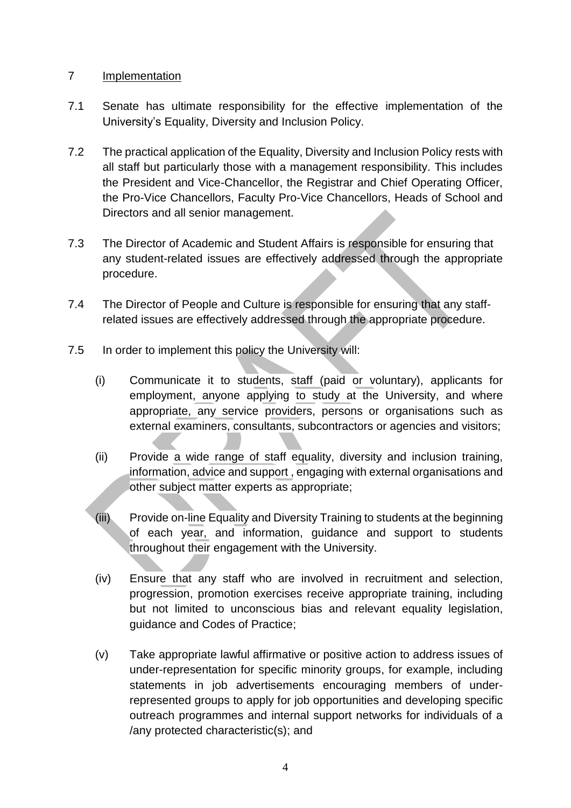#### 7 Implementation

- 7.1 Senate has ultimate responsibility for the effective implementation of the University's Equality, Diversity and Inclusion Policy.
- 7.2 The practical application of the Equality, Diversity and Inclusion Policy rests with all staff but particularly those with a management responsibility. This includes the President and Vice-Chancellor, the Registrar and Chief Operating Officer, the Pro-Vice Chancellors, Faculty Pro-Vice Chancellors, Heads of School and Directors and all senior management.
- 7.3 The Director of Academic and Student Affairs is responsible for ensuring that any student-related issues are effectively addressed through the appropriate procedure.
- 7.4 The Director of People and Culture is responsible for ensuring that any staffrelated issues are effectively addressed through the appropriate procedure.
- 7.5 In order to implement this policy the University will:
	- (i) Communicate it to students, staff (paid or voluntary), applicants for employment, anyone applying to study at the University, and where appropriate, any service providers, persons or organisations such as external examiners, consultants, subcontractors or agencies and visitors;
	- (ii) Provide a wide range of staff equality, diversity and inclusion training, information, advice and support , engaging with external organisations and other subject matter experts as appropriate;
	- (iii) Provide on-line Equality and Diversity Training to students at the beginning of each year, and information, guidance and support to students throughout their engagement with the University.
	- (iv) Ensure that any staff who are involved in recruitment and selection, progression, promotion exercises receive appropriate training, including but not limited to unconscious bias and relevant equality legislation, guidance and Codes of Practice;
	- (v) Take appropriate lawful affirmative or positive action to address issues of under-representation for specific minority groups, for example, including statements in job advertisements encouraging members of underrepresented groups to apply for job opportunities and developing specific outreach programmes and internal support networks for individuals of a /any protected characteristic(s); and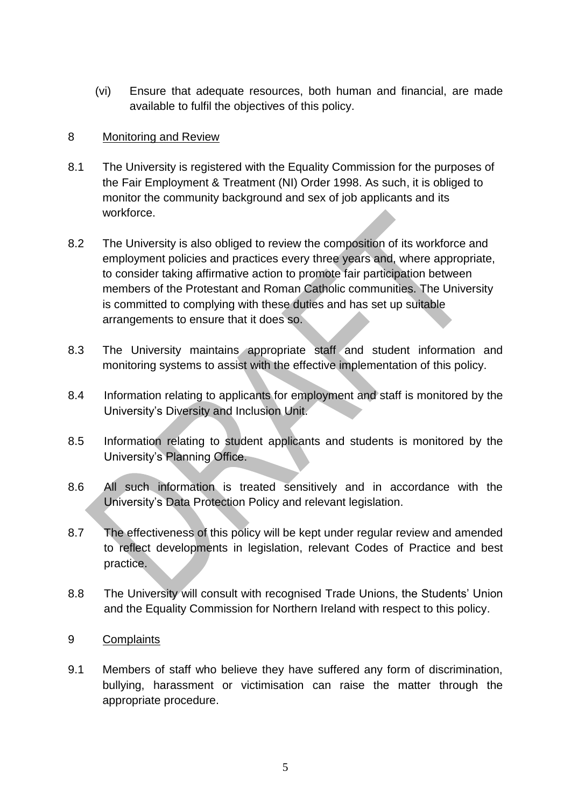(vi) Ensure that adequate resources, both human and financial, are made available to fulfil the objectives of this policy.

#### 8 Monitoring and Review

- 8.1 The University is registered with the Equality Commission for the purposes of the Fair Employment & Treatment (NI) Order 1998. As such, it is obliged to monitor the community background and sex of job applicants and its workforce.
- 8.2 The University is also obliged to review the composition of its workforce and employment policies and practices every three years and, where appropriate, to consider taking affirmative action to promote fair participation between members of the Protestant and Roman Catholic communities. The University is committed to complying with these duties and has set up suitable arrangements to ensure that it does so.
- 8.3 The University maintains appropriate staff and student information and monitoring systems to assist with the effective implementation of this policy.
- 8.4 Information relating to applicants for employment and staff is monitored by the University's Diversity and Inclusion Unit.
- 8.5 Information relating to student applicants and students is monitored by the University's Planning Office.
- 8.6 All such information is treated sensitively and in accordance with the University's Data Protection Policy and relevant legislation.
- 8.7 The effectiveness of this policy will be kept under regular review and amended to reflect developments in legislation, relevant Codes of Practice and best practice.
- 8.8 The University will consult with recognised Trade Unions, the Students' Union and the Equality Commission for Northern Ireland with respect to this policy.

#### 9 Complaints

9.1 Members of staff who believe they have suffered any form of discrimination, bullying, harassment or victimisation can raise the matter through the appropriate procedure.